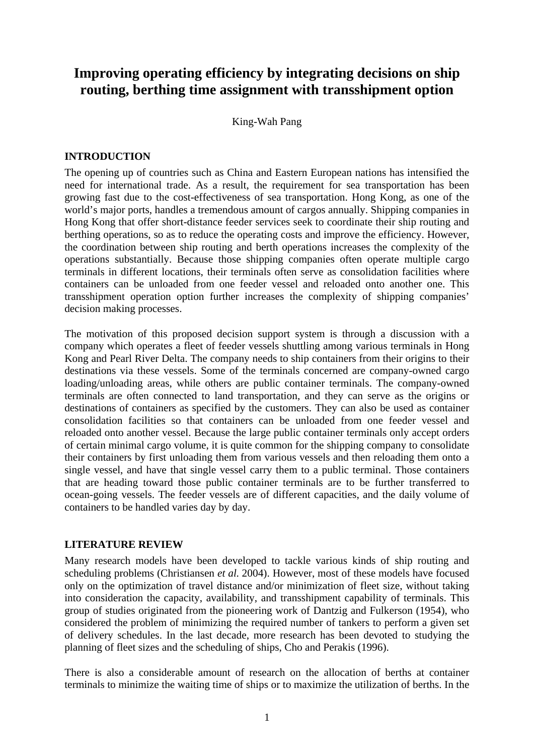# **Improving operating efficiency by integrating decisions on ship routing, berthing time assignment with transshipment option**

King-Wah Pang

## **INTRODUCTION**

The opening up of countries such as China and Eastern European nations has intensified the need for international trade. As a result, the requirement for sea transportation has been growing fast due to the cost-effectiveness of sea transportation. Hong Kong, as one of the world's major ports, handles a tremendous amount of cargos annually. Shipping companies in Hong Kong that offer short-distance feeder services seek to coordinate their ship routing and berthing operations, so as to reduce the operating costs and improve the efficiency. However, the coordination between ship routing and berth operations increases the complexity of the operations substantially. Because those shipping companies often operate multiple cargo terminals in different locations, their terminals often serve as consolidation facilities where containers can be unloaded from one feeder vessel and reloaded onto another one. This transshipment operation option further increases the complexity of shipping companies' decision making processes.

The motivation of this proposed decision support system is through a discussion with a company which operates a fleet of feeder vessels shuttling among various terminals in Hong Kong and Pearl River Delta. The company needs to ship containers from their origins to their destinations via these vessels. Some of the terminals concerned are company-owned cargo loading/unloading areas, while others are public container terminals. The company-owned terminals are often connected to land transportation, and they can serve as the origins or destinations of containers as specified by the customers. They can also be used as container consolidation facilities so that containers can be unloaded from one feeder vessel and reloaded onto another vessel. Because the large public container terminals only accept orders of certain minimal cargo volume, it is quite common for the shipping company to consolidate their containers by first unloading them from various vessels and then reloading them onto a single vessel, and have that single vessel carry them to a public terminal. Those containers that are heading toward those public container terminals are to be further transferred to ocean-going vessels. The feeder vessels are of different capacities, and the daily volume of containers to be handled varies day by day.

### **LITERATURE REVIEW**

Many research models have been developed to tackle various kinds of ship routing and scheduling problems (Christiansen *et al.* 2004). However, most of these models have focused only on the optimization of travel distance and/or minimization of fleet size, without taking into consideration the capacity, availability, and transshipment capability of terminals. This group of studies originated from the pioneering work of Dantzig and Fulkerson (1954), who considered the problem of minimizing the required number of tankers to perform a given set of delivery schedules. In the last decade, more research has been devoted to studying the planning of fleet sizes and the scheduling of ships, Cho and Perakis (1996).

There is also a considerable amount of research on the allocation of berths at container terminals to minimize the waiting time of ships or to maximize the utilization of berths. In the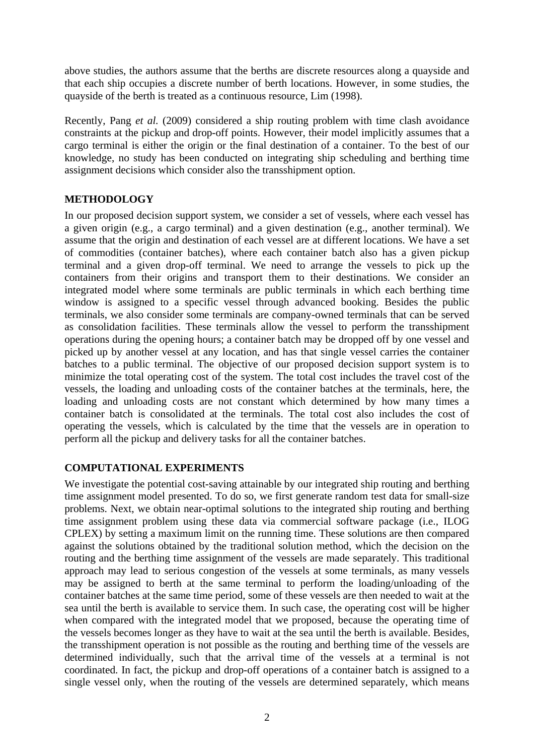above studies, the authors assume that the berths are discrete resources along a quayside and that each ship occupies a discrete number of berth locations. However, in some studies, the quayside of the berth is treated as a continuous resource, Lim (1998).

Recently, Pang *et al.* (2009) considered a ship routing problem with time clash avoidance constraints at the pickup and drop-off points. However, their model implicitly assumes that a cargo terminal is either the origin or the final destination of a container. To the best of our knowledge, no study has been conducted on integrating ship scheduling and berthing time assignment decisions which consider also the transshipment option.

# **METHODOLOGY**

In our proposed decision support system, we consider a set of vessels, where each vessel has a given origin (e.g., a cargo terminal) and a given destination (e.g., another terminal). We assume that the origin and destination of each vessel are at different locations. We have a set of commodities (container batches), where each container batch also has a given pickup terminal and a given drop-off terminal. We need to arrange the vessels to pick up the containers from their origins and transport them to their destinations. We consider an integrated model where some terminals are public terminals in which each berthing time window is assigned to a specific vessel through advanced booking. Besides the public terminals, we also consider some terminals are company-owned terminals that can be served as consolidation facilities. These terminals allow the vessel to perform the transshipment operations during the opening hours; a container batch may be dropped off by one vessel and picked up by another vessel at any location, and has that single vessel carries the container batches to a public terminal. The objective of our proposed decision support system is to minimize the total operating cost of the system. The total cost includes the travel cost of the vessels, the loading and unloading costs of the container batches at the terminals, here, the loading and unloading costs are not constant which determined by how many times a container batch is consolidated at the terminals. The total cost also includes the cost of operating the vessels, which is calculated by the time that the vessels are in operation to perform all the pickup and delivery tasks for all the container batches.

# **COMPUTATIONAL EXPERIMENTS**

We investigate the potential cost-saving attainable by our integrated ship routing and berthing time assignment model presented. To do so, we first generate random test data for small-size problems. Next, we obtain near-optimal solutions to the integrated ship routing and berthing time assignment problem using these data via commercial software package (i.e., ILOG CPLEX) by setting a maximum limit on the running time. These solutions are then compared against the solutions obtained by the traditional solution method, which the decision on the routing and the berthing time assignment of the vessels are made separately. This traditional approach may lead to serious congestion of the vessels at some terminals, as many vessels may be assigned to berth at the same terminal to perform the loading/unloading of the container batches at the same time period, some of these vessels are then needed to wait at the sea until the berth is available to service them. In such case, the operating cost will be higher when compared with the integrated model that we proposed, because the operating time of the vessels becomes longer as they have to wait at the sea until the berth is available. Besides, the transshipment operation is not possible as the routing and berthing time of the vessels are determined individually, such that the arrival time of the vessels at a terminal is not coordinated. In fact, the pickup and drop-off operations of a container batch is assigned to a single vessel only, when the routing of the vessels are determined separately, which means